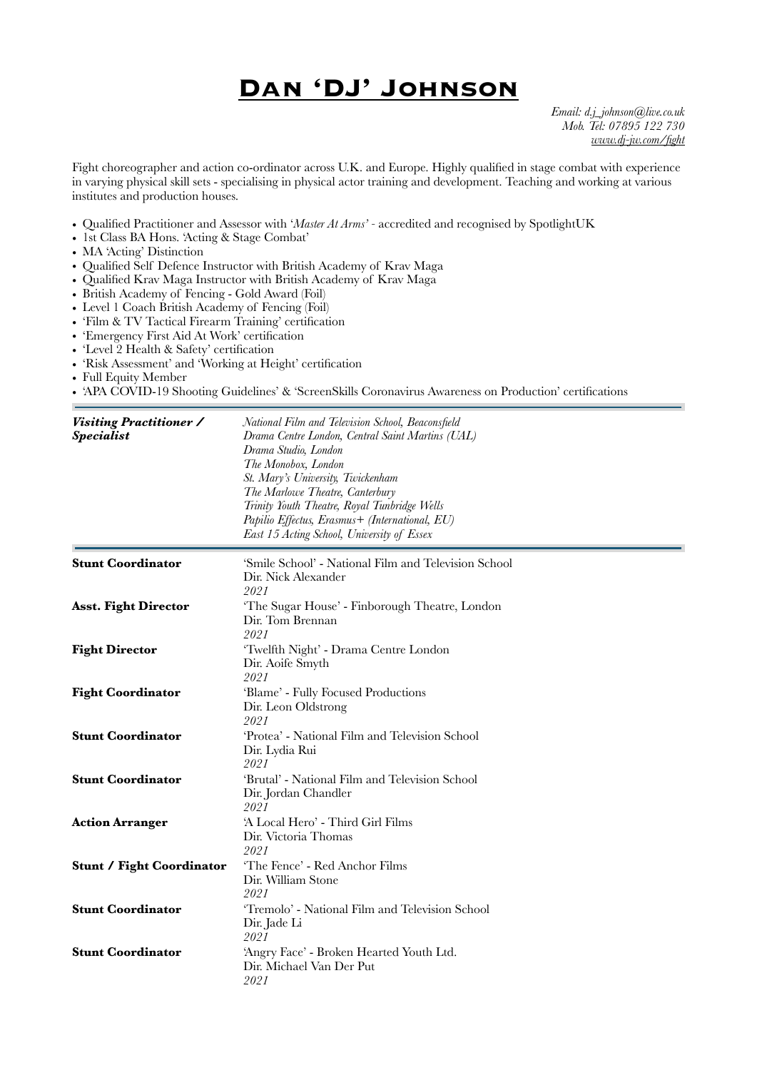## **Dan 'DJ' Johnson**

*Email: [d.j\\_johnson@live.co.uk](mailto:d.j_johnson@live.co.uk) Mob. Tel: 07895 122 730 [www.dj-jw.com/fight](http://www.dj-jw.com/fight)*

Fight choreographer and action co-ordinator across U.K. and Europe. Highly qualified in stage combat with experience in varying physical skill sets - specialising in physical actor training and development. Teaching and working at various institutes and production houses.

- Qualified Practitioner and Assessor with '*Master At Arms'* accredited and recognised by SpotlightUK
- 1st Class BA Hons. 'Acting & Stage Combat'
- MA 'Acting' Distinction
- Qualified Self Defence Instructor with British Academy of Krav Maga
- Qualified Krav Maga Instructor with British Academy of Krav Maga
- British Academy of Fencing Gold Award (Foil)
- Level 1 Coach British Academy of Fencing (Foil)
- 'Film & TV Tactical Firearm Training' certification
- 'Emergency First Aid At Work' certification
- 'Level 2 Health & Safety' certification
- 'Risk Assessment' and 'Working at Height' certification
- Full Equity Member
- 'APA COVID-19 Shooting Guidelines' & 'ScreenSkills Coronavirus Awareness on Production' certifications

| Visiting Practitioner /<br><b>Specialist</b> | National Film and Television School, Beaconsfield<br>Drama Centre London, Central Saint Martins (UAL)<br>Drama Studio, London<br>The Monobox, London<br>St. Mary's University, Twickenham<br>The Marlowe Theatre, Canterbury<br>Trinity Youth Theatre, Royal Tunbridge Wells<br>Papilio Effectus, Erasmus+ (International, EU)<br>East 15 Acting School, University of Essex |
|----------------------------------------------|------------------------------------------------------------------------------------------------------------------------------------------------------------------------------------------------------------------------------------------------------------------------------------------------------------------------------------------------------------------------------|
| <b>Stunt Coordinator</b>                     | 'Smile School' - National Film and Television School<br>Dir. Nick Alexander<br>2021                                                                                                                                                                                                                                                                                          |
| <b>Asst. Fight Director</b>                  | 'The Sugar House' - Finborough Theatre, London<br>Dir. Tom Brennan<br>2021                                                                                                                                                                                                                                                                                                   |
| <b>Fight Director</b>                        | 'Twelfth Night' - Drama Centre London<br>Dir. Aoife Smyth<br>2021                                                                                                                                                                                                                                                                                                            |
| <b>Fight Coordinator</b>                     | 'Blame' - Fully Focused Productions<br>Dir. Leon Oldstrong<br>2021                                                                                                                                                                                                                                                                                                           |
| <b>Stunt Coordinator</b>                     | 'Protea' - National Film and Television School<br>Dir. Lydia Rui<br>2021                                                                                                                                                                                                                                                                                                     |
| <b>Stunt Coordinator</b>                     | 'Brutal' - National Film and Television School<br>Dir. Jordan Chandler<br>2021                                                                                                                                                                                                                                                                                               |
| <b>Action Arranger</b>                       | 'A Local Hero' - Third Girl Films<br>Dir. Victoria Thomas<br>2021                                                                                                                                                                                                                                                                                                            |
| <b>Stunt / Fight Coordinator</b>             | 'The Fence' - Red Anchor Films<br>Dir. William Stone<br>2021                                                                                                                                                                                                                                                                                                                 |
| <b>Stunt Coordinator</b>                     | 'Tremolo' - National Film and Television School<br>Dir. Jade Li<br>2021                                                                                                                                                                                                                                                                                                      |
| <b>Stunt Coordinator</b>                     | 'Angry Face' - Broken Hearted Youth Ltd.<br>Dir. Michael Van Der Put<br>2021                                                                                                                                                                                                                                                                                                 |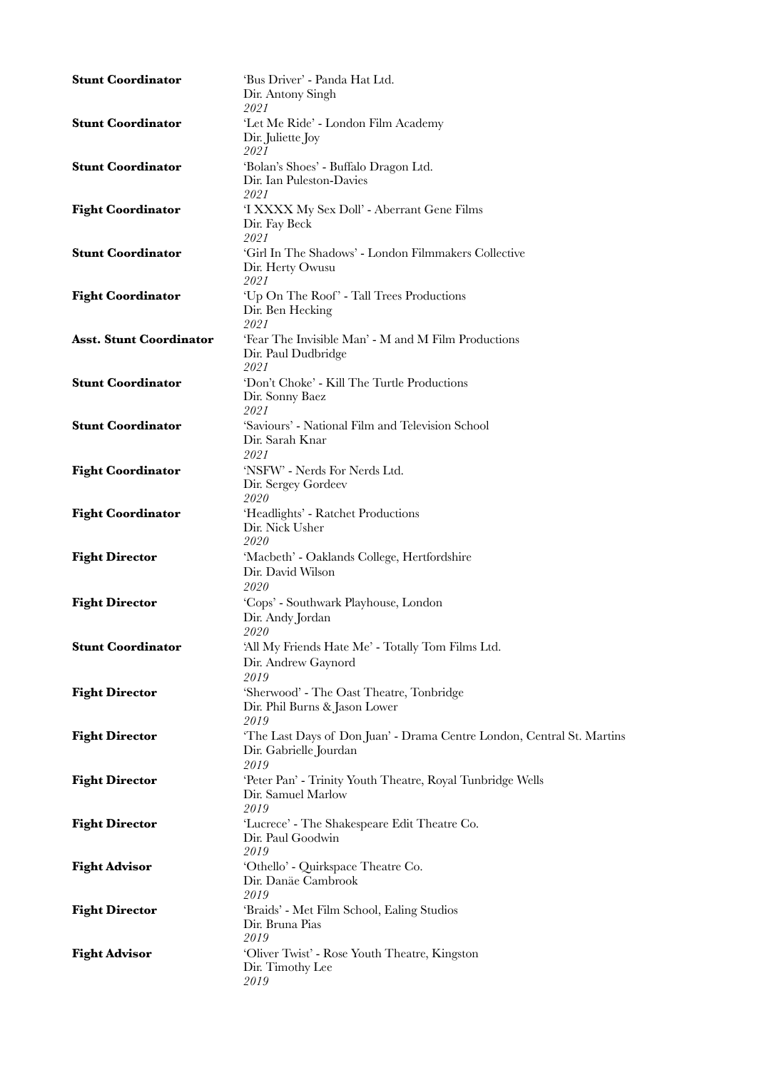| <b>Stunt Coordinator</b>       | 'Bus Driver' - Panda Hat Ltd.<br>Dir. Antony Singh<br>2021                                               |
|--------------------------------|----------------------------------------------------------------------------------------------------------|
| <b>Stunt Coordinator</b>       | 'Let Me Ride' - London Film Academy<br>Dir. Juliette Joy<br>2021                                         |
| <b>Stunt Coordinator</b>       | 'Bolan's Shoes' - Buffalo Dragon Ltd.<br>Dir. Ian Puleston-Davies<br>2021                                |
| <b>Fight Coordinator</b>       | 'I XXXX My Sex Doll' - Aberrant Gene Films<br>Dir. Fay Beck<br>2021                                      |
| <b>Stunt Coordinator</b>       | 'Girl In The Shadows' - London Filmmakers Collective<br>Dir. Herty Owusu<br>2021                         |
| <b>Fight Coordinator</b>       | 'Up On The Roof' - Tall Trees Productions<br>Dir. Ben Hecking<br>2021                                    |
| <b>Asst. Stunt Coordinator</b> | 'Fear The Invisible Man' - M and M Film Productions<br>Dir. Paul Dudbridge<br>2021                       |
| <b>Stunt Coordinator</b>       | 'Don't Choke' - Kill The Turtle Productions<br>Dir. Sonny Baez<br>2021                                   |
| <b>Stunt Coordinator</b>       | 'Saviours' - National Film and Television School<br>Dir. Sarah Knar<br>2021                              |
| <b>Fight Coordinator</b>       | 'NSFW' - Nerds For Nerds Ltd.<br>Dir. Sergey Gordeev<br>2020                                             |
| <b>Fight Coordinator</b>       | 'Headlights' - Ratchet Productions<br>Dir. Nick Usher<br><i>2020</i>                                     |
| <b>Fight Director</b>          | 'Macbeth' - Oaklands College, Hertfordshire<br>Dir. David Wilson<br><i>2020</i>                          |
| <b>Fight Director</b>          | 'Cops' - Southwark Playhouse, London<br>Dir. Andy Jordan<br>2020                                         |
| <b>Stunt Coordinator</b>       | 'All My Friends Hate Me' - Totally Tom Films Ltd.<br>Dir. Andrew Gaynord<br>2019                         |
| <b>Fight Director</b>          | 'Sherwood' - The Oast Theatre, Tonbridge<br>Dir. Phil Burns & Jason Lower<br>2019                        |
| <b>Fight Director</b>          | 'The Last Days of Don Juan' - Drama Centre London, Central St. Martins<br>Dir. Gabrielle Jourdan<br>2019 |
| <b>Fight Director</b>          | 'Peter Pan' - Trinity Youth Theatre, Royal Tunbridge Wells<br>Dir. Samuel Marlow<br>2019                 |
| <b>Fight Director</b>          | 'Lucrece' - The Shakespeare Edit Theatre Co.<br>Dir. Paul Goodwin<br>2019                                |
| <b>Fight Advisor</b>           | 'Othello' - Quirkspace Theatre Co.<br>Dir. Danäe Cambrook<br>2019                                        |
| <b>Fight Director</b>          | 'Braids' - Met Film School, Ealing Studios<br>Dir. Bruna Pias<br>2019                                    |
| <b>Fight Advisor</b>           | 'Oliver Twist' - Rose Youth Theatre, Kingston<br>Dir. Timothy Lee<br>2019                                |